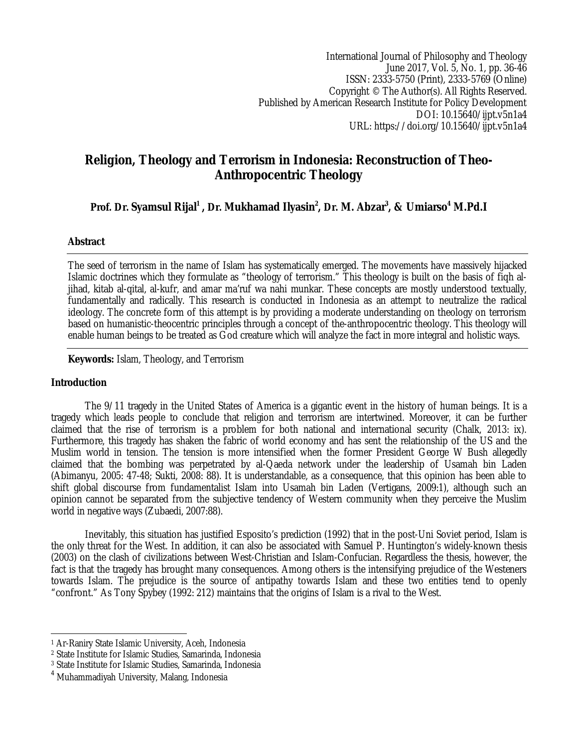International Journal of Philosophy and Theology June 2017, Vol. 5, No. 1, pp. 36-46 ISSN: 2333-5750 (Print), 2333-5769 (Online) Copyright © The Author(s). All Rights Reserved. Published by American Research Institute for Policy Development DOI: 10.15640/ijpt.v5n1a4 URL: https://doi.org/10.15640/ijpt.v5n1a4

# **Religion, Theology and Terrorism in Indonesia: Reconstruction of Theo-Anthropocentric Theology**

**Prof. Dr. Syamsul Rijal<sup>1</sup> , Dr. Mukhamad Ilyasin<sup>2</sup> , Dr. M. Abzar<sup>3</sup> , & Umiarso<sup>4</sup> M.Pd.I**

# **Abstract**

The seed of terrorism in the name of Islam has systematically emerged. The movements have massively hijacked Islamic doctrines which they formulate as "theology of terrorism." This theology is built on the basis of fiqh aljihad, kitab al-qital, al-kufr, and amar ma'ruf wa nahi munkar. These concepts are mostly understood textually, fundamentally and radically. This research is conducted in Indonesia as an attempt to neutralize the radical ideology. The concrete form of this attempt is by providing a moderate understanding on theology on terrorism based on humanistic-theocentric principles through a concept of the-anthropocentric theology. This theology will enable human beings to be treated as God creature which will analyze the fact in more integral and holistic ways.

**Keywords:** Islam, Theology, and Terrorism

# **Introduction**

The 9/11 tragedy in the United States of America is a gigantic event in the history of human beings. It is a tragedy which leads people to conclude that religion and terrorism are intertwined. Moreover, it can be further claimed that the rise of terrorism is a problem for both national and international security (Chalk, 2013: ix). Furthermore, this tragedy has shaken the fabric of world economy and has sent the relationship of the US and the Muslim world in tension. The tension is more intensified when the former President George W Bush allegedly claimed that the bombing was perpetrated by al-Qaeda network under the leadership of Usamah bin Laden (Abimanyu, 2005: 47-48; Sukti, 2008: 88). It is understandable, as a consequence, that this opinion has been able to shift global discourse from fundamentalist Islam into Usamah bin Laden (Vertigans, 2009:1), although such an opinion cannot be separated from the subjective tendency of Western community when they perceive the Muslim world in negative ways (Zubaedi, 2007:88).

Inevitably, this situation has justified Esposito's prediction (1992) that in the post-Uni Soviet period, Islam is the only threat for the West. In addition, it can also be associated with Samuel P. Huntington's widely-known thesis (2003) on the clash of civilizations between West-Christian and Islam-Confucian. Regardless the thesis, however, the fact is that the tragedy has brought many consequences. Among others is the intensifying prejudice of the Westeners towards Islam. The prejudice is the source of antipathy towards Islam and these two entities tend to openly "confront." As Tony Spybey (1992: 212) maintains that the origins of Islam is a rival to the West.

 $\overline{\phantom{a}}$ <sup>1</sup> Ar-Raniry State Islamic University, Aceh, Indonesia

<sup>2</sup> State Institute for Islamic Studies, Samarinda, Indonesia

<sup>3</sup> State Institute for Islamic Studies, Samarinda, Indonesia

<sup>4</sup> Muhammadiyah University, Malang, Indonesia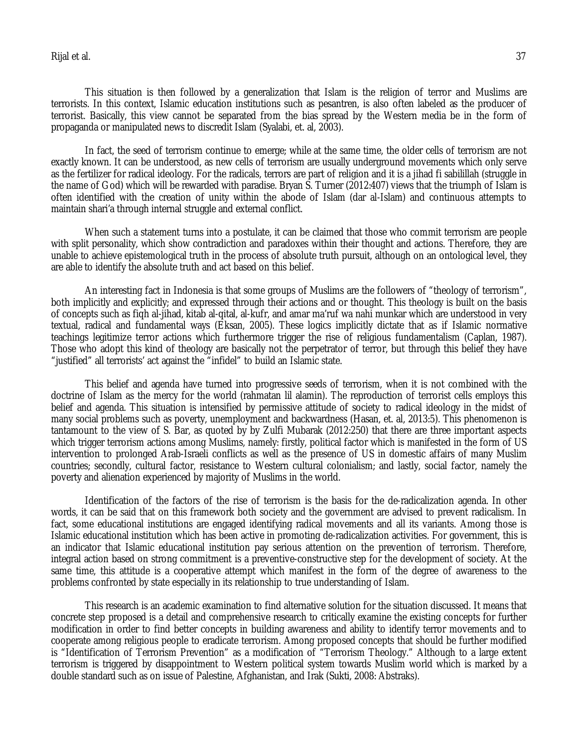Rijal et al. 37

This situation is then followed by a generalization that Islam is the religion of terror and Muslims are terrorists. In this context, Islamic education institutions such as pesantren, is also often labeled as the producer of terrorist. Basically, this view cannot be separated from the bias spread by the Western media be in the form of propaganda or manipulated news to discredit Islam (Syalabi, et. al, 2003).

In fact, the seed of terrorism continue to emerge; while at the same time, the older cells of terrorism are not exactly known. It can be understood, as new cells of terrorism are usually underground movements which only serve as the fertilizer for radical ideology. For the radicals, terrors are part of religion and it is a jihad fi sabilillah (struggle in the name of God) which will be rewarded with paradise. Bryan S. Turner (2012:407) views that the triumph of Islam is often identified with the creation of unity within the abode of Islam (dar al-Islam) and continuous attempts to maintain shari'a through internal struggle and external conflict.

When such a statement turns into a postulate, it can be claimed that those who commit terrorism are people with split personality, which show contradiction and paradoxes within their thought and actions. Therefore, they are unable to achieve epistemological truth in the process of absolute truth pursuit, although on an ontological level, they are able to identify the absolute truth and act based on this belief.

An interesting fact in Indonesia is that some groups of Muslims are the followers of "theology of terrorism", both implicitly and explicitly; and expressed through their actions and or thought. This theology is built on the basis of concepts such as fiqh al-jihad, kitab al-qital, al-kufr, and amar ma'ruf wa nahi munkar which are understood in very textual, radical and fundamental ways (Eksan, 2005). These logics implicitly dictate that as if Islamic normative teachings legitimize terror actions which furthermore trigger the rise of religious fundamentalism (Caplan, 1987). Those who adopt this kind of theology are basically not the perpetrator of terror, but through this belief they have "justified" all terrorists' act against the "infidel" to build an Islamic state.

This belief and agenda have turned into progressive seeds of terrorism, when it is not combined with the doctrine of Islam as the mercy for the world (rahmatan lil alamin). The reproduction of terrorist cells employs this belief and agenda. This situation is intensified by permissive attitude of society to radical ideology in the midst of many social problems such as poverty, unemployment and backwardness (Hasan, et. al, 2013:5). This phenomenon is tantamount to the view of S. Bar, as quoted by by Zulfi Mubarak (2012:250) that there are three important aspects which trigger terrorism actions among Muslims, namely: firstly, political factor which is manifested in the form of US intervention to prolonged Arab-Israeli conflicts as well as the presence of US in domestic affairs of many Muslim countries; secondly, cultural factor, resistance to Western cultural colonialism; and lastly, social factor, namely the poverty and alienation experienced by majority of Muslims in the world.

Identification of the factors of the rise of terrorism is the basis for the de-radicalization agenda. In other words, it can be said that on this framework both society and the government are advised to prevent radicalism. In fact, some educational institutions are engaged identifying radical movements and all its variants. Among those is Islamic educational institution which has been active in promoting de-radicalization activities. For government, this is an indicator that Islamic educational institution pay serious attention on the prevention of terrorism. Therefore, integral action based on strong commitment is a preventive-constructive step for the development of society. At the same time, this attitude is a cooperative attempt which manifest in the form of the degree of awareness to the problems confronted by state especially in its relationship to true understanding of Islam.

This research is an academic examination to find alternative solution for the situation discussed. It means that concrete step proposed is a detail and comprehensive research to critically examine the existing concepts for further modification in order to find better concepts in building awareness and ability to identify terror movements and to cooperate among religious people to eradicate terrorism. Among proposed concepts that should be further modified is "Identification of Terrorism Prevention" as a modification of "Terrorism Theology." Although to a large extent terrorism is triggered by disappointment to Western political system towards Muslim world which is marked by a double standard such as on issue of Palestine, Afghanistan, and Irak (Sukti, 2008: Abstraks).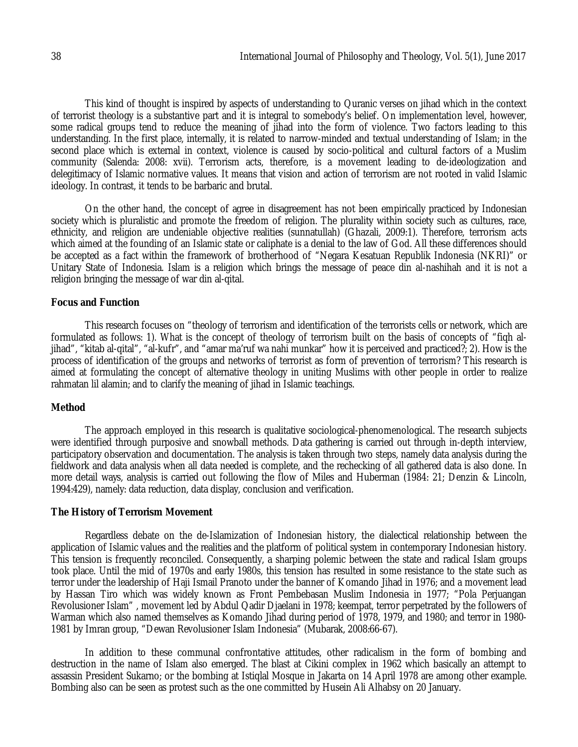This kind of thought is inspired by aspects of understanding to Quranic verses on jihad which in the context of terrorist theology is a substantive part and it is integral to somebody's belief. On implementation level, however, some radical groups tend to reduce the meaning of jihad into the form of violence. Two factors leading to this understanding. In the first place, internally, it is related to narrow-minded and textual understanding of Islam; in the second place which is external in context, violence is caused by socio-political and cultural factors of a Muslim community (Salenda: 2008: xvii). Terrorism acts, therefore, is a movement leading to de-ideologization and delegitimacy of Islamic normative values. It means that vision and action of terrorism are not rooted in valid Islamic ideology. In contrast, it tends to be barbaric and brutal.

On the other hand, the concept of agree in disagreement has not been empirically practiced by Indonesian society which is pluralistic and promote the freedom of religion. The plurality within society such as cultures, race, ethnicity, and religion are undeniable objective realities (sunnatullah) (Ghazali, 2009:1). Therefore, terrorism acts which aimed at the founding of an Islamic state or caliphate is a denial to the law of God. All these differences should be accepted as a fact within the framework of brotherhood of "Negara Kesatuan Republik Indonesia (NKRI)" or Unitary State of Indonesia. Islam is a religion which brings the message of peace din al-nashihah and it is not a religion bringing the message of war din al-qital.

#### **Focus and Function**

This research focuses on "theology of terrorism and identification of the terrorists cells or network, which are formulated as follows: 1). What is the concept of theology of terrorism built on the basis of concepts of "fiqh aljihad", "kitab al-qital", "al-kufr", and "amar ma'ruf wa nahi munkar" how it is perceived and practiced?; 2). How is the process of identification of the groups and networks of terrorist as form of prevention of terrorism? This research is aimed at formulating the concept of alternative theology in uniting Muslims with other people in order to realize rahmatan lil alamin; and to clarify the meaning of jihad in Islamic teachings.

#### **Method**

The approach employed in this research is qualitative sociological-phenomenological. The research subjects were identified through purposive and snowball methods. Data gathering is carried out through in-depth interview, participatory observation and documentation. The analysis is taken through two steps, namely data analysis during the fieldwork and data analysis when all data needed is complete, and the rechecking of all gathered data is also done. In more detail ways, analysis is carried out following the flow of Miles and Huberman (1984: 21; Denzin & Lincoln, 1994:429), namely: data reduction, data display, conclusion and verification.

#### **The History of Terrorism Movement**

Regardless debate on the de-Islamization of Indonesian history, the dialectical relationship between the application of Islamic values and the realities and the platform of political system in contemporary Indonesian history. This tension is frequently reconciled. Consequently, a sharping polemic between the state and radical Islam groups took place. Until the mid of 1970s and early 1980s, this tension has resulted in some resistance to the state such as terror under the leadership of Haji Ismail Pranoto under the banner of Komando Jihad in 1976; and a movement lead by Hassan Tiro which was widely known as Front Pembebasan Muslim Indonesia in 1977; "Pola Perjuangan Revolusioner Islam" , movement led by Abdul Qadir Djaelani in 1978; keempat, terror perpetrated by the followers of Warman which also named themselves as Komando Jihad during period of 1978, 1979, and 1980; and terror in 1980- 1981 by Imran group, "Dewan Revolusioner Islam Indonesia" (Mubarak, 2008:66-67).

In addition to these communal confrontative attitudes, other radicalism in the form of bombing and destruction in the name of Islam also emerged. The blast at Cikini complex in 1962 which basically an attempt to assassin President Sukarno; or the bombing at Istiqlal Mosque in Jakarta on 14 April 1978 are among other example. Bombing also can be seen as protest such as the one committed by Husein Ali Alhabsy on 20 January.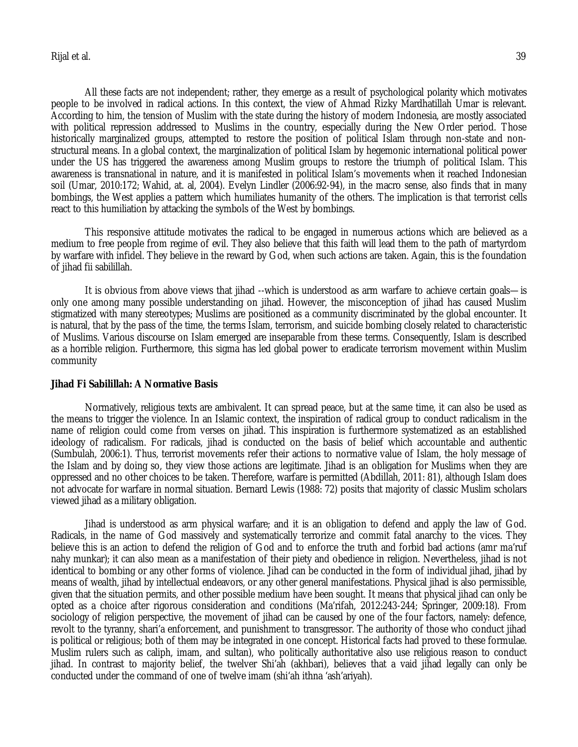All these facts are not independent; rather, they emerge as a result of psychological polarity which motivates people to be involved in radical actions. In this context, the view of Ahmad Rizky Mardhatillah Umar is relevant. According to him, the tension of Muslim with the state during the history of modern Indonesia, are mostly associated with political repression addressed to Muslims in the country, especially during the New Order period. Those historically marginalized groups, attempted to restore the position of political Islam through non-state and nonstructural means. In a global context, the marginalization of political Islam by hegemonic international political power under the US has triggered the awareness among Muslim groups to restore the triumph of political Islam. This awareness is transnational in nature, and it is manifested in political Islam's movements when it reached Indonesian soil (Umar, 2010:172; Wahid, at. al, 2004). Evelyn Lindler (2006:92-94), in the macro sense, also finds that in many bombings, the West applies a pattern which humiliates humanity of the others. The implication is that terrorist cells react to this humiliation by attacking the symbols of the West by bombings.

This responsive attitude motivates the radical to be engaged in numerous actions which are believed as a medium to free people from regime of evil. They also believe that this faith will lead them to the path of martyrdom by warfare with infidel. They believe in the reward by God, when such actions are taken. Again, this is the foundation of jihad fii sabilillah.

It is obvious from above views that jihad --which is understood as arm warfare to achieve certain goals—is only one among many possible understanding on jihad. However, the misconception of jihad has caused Muslim stigmatized with many stereotypes; Muslims are positioned as a community discriminated by the global encounter. It is natural, that by the pass of the time, the terms Islam, terrorism, and suicide bombing closely related to characteristic of Muslims. Various discourse on Islam emerged are inseparable from these terms. Consequently, Islam is described as a horrible religion. Furthermore, this sigma has led global power to eradicate terrorism movement within Muslim community

#### **Jihad Fi Sabilillah: A Normative Basis**

Normatively, religious texts are ambivalent. It can spread peace, but at the same time, it can also be used as the means to trigger the violence. In an Islamic context, the inspiration of radical group to conduct radicalism in the name of religion could come from verses on jihad. This inspiration is furthermore systematized as an established ideology of radicalism. For radicals, jihad is conducted on the basis of belief which accountable and authentic (Sumbulah, 2006:1). Thus, terrorist movements refer their actions to normative value of Islam, the holy message of the Islam and by doing so, they view those actions are legitimate. Jihad is an obligation for Muslims when they are oppressed and no other choices to be taken. Therefore, warfare is permitted (Abdillah, 2011: 81), although Islam does not advocate for warfare in normal situation. Bernard Lewis (1988: 72) posits that majority of classic Muslim scholars viewed jihad as a military obligation.

Jihad is understood as arm physical warfare; and it is an obligation to defend and apply the law of God. Radicals, in the name of God massively and systematically terrorize and commit fatal anarchy to the vices. They believe this is an action to defend the religion of God and to enforce the truth and forbid bad actions (amr ma'ruf nahy munkar); it can also mean as a manifestation of their piety and obedience in religion. Nevertheless, jihad is not identical to bombing or any other forms of violence. Jihad can be conducted in the form of individual jihad, jihad by means of wealth, jihad by intellectual endeavors, or any other general manifestations. Physical jihad is also permissible, given that the situation permits, and other possible medium have been sought. It means that physical jihad can only be opted as a choice after rigorous consideration and conditions (Ma'rifah, 2012:243-244; Springer, 2009:18). From sociology of religion perspective, the movement of jihad can be caused by one of the four factors, namely: defence, revolt to the tyranny, shari'a enforcement, and punishment to transgressor. The authority of those who conduct jihad is political or religious; both of them may be integrated in one concept. Historical facts had proved to these formulae. Muslim rulers such as caliph, imam, and sultan), who politically authoritative also use religious reason to conduct jihad. In contrast to majority belief, the twelver Shi'ah (akhbari), believes that a vaid jihad legally can only be conducted under the command of one of twelve imam (shi'ah ithna 'ash'ariyah).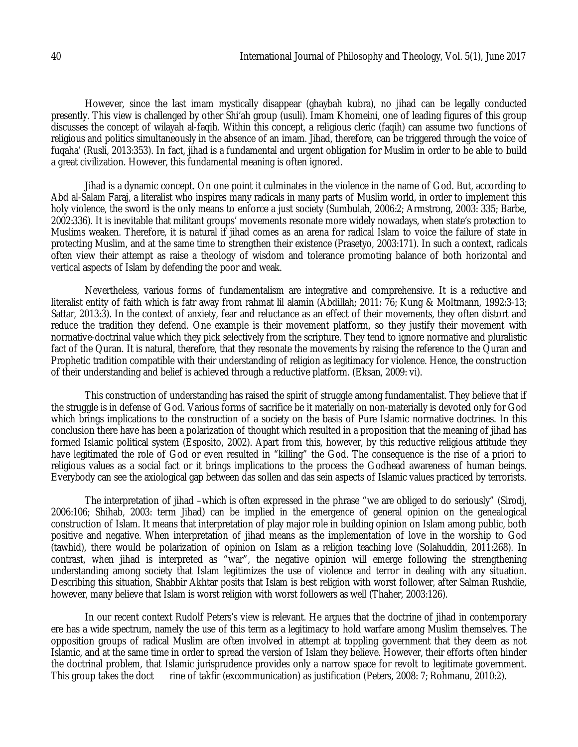However, since the last imam mystically disappear (ghaybah kubra), no jihad can be legally conducted presently. This view is challenged by other Shi'ah group (usuli). Imam Khomeini, one of leading figures of this group discusses the concept of wilayah al-faqih. Within this concept, a religious cleric (faqih) can assume two functions of religious and politics simultaneously in the absence of an imam. Jihad, therefore, can be triggered through the voice of fuqaha' (Rusli, 2013:353). In fact, jihad is a fundamental and urgent obligation for Muslim in order to be able to build a great civilization. However, this fundamental meaning is often ignored.

Jihad is a dynamic concept. On one point it culminates in the violence in the name of God. But, according to Abd al-Salam Faraj, a literalist who inspires many radicals in many parts of Muslim world, in order to implement this holy violence, the sword is the only means to enforce a just society (Sumbulah, 2006:2; Armstrong, 2003: 335; Barbe, 2002:336). It is inevitable that militant groups' movements resonate more widely nowadays, when state's protection to Muslims weaken. Therefore, it is natural if jihad comes as an arena for radical Islam to voice the failure of state in protecting Muslim, and at the same time to strengthen their existence (Prasetyo, 2003:171). In such a context, radicals often view their attempt as raise a theology of wisdom and tolerance promoting balance of both horizontal and vertical aspects of Islam by defending the poor and weak.

Nevertheless, various forms of fundamentalism are integrative and comprehensive. It is a reductive and literalist entity of faith which is fatr away from rahmat lil alamin (Abdillah; 2011: 76; Kung & Moltmann, 1992:3-13; Sattar, 2013:3). In the context of anxiety, fear and reluctance as an effect of their movements, they often distort and reduce the tradition they defend. One example is their movement platform, so they justify their movement with normative-doctrinal value which they pick selectively from the scripture. They tend to ignore normative and pluralistic fact of the Quran. It is natural, therefore, that they resonate the movements by raising the reference to the Quran and Prophetic tradition compatible with their understanding of religion as legitimacy for violence. Hence, the construction of their understanding and belief is achieved through a reductive platform. (Eksan, 2009: vi).

This construction of understanding has raised the spirit of struggle among fundamentalist. They believe that if the struggle is in defense of God. Various forms of sacrifice be it materially on non-materially is devoted only for God which brings implications to the construction of a society on the basis of Pure Islamic normative doctrines. In this conclusion there have has been a polarization of thought which resulted in a proposition that the meaning of jihad has formed Islamic political system (Esposito, 2002). Apart from this, however, by this reductive religious attitude they have legitimated the role of God or even resulted in "killing" the God. The consequence is the rise of a priori to religious values as a social fact or it brings implications to the process the Godhead awareness of human beings. Everybody can see the axiological gap between das sollen and das sein aspects of Islamic values practiced by terrorists.

The interpretation of jihad –which is often expressed in the phrase "we are obliged to do seriously" (Sirodj, 2006:106; Shihab, 2003: term Jihad) can be implied in the emergence of general opinion on the genealogical construction of Islam. It means that interpretation of play major role in building opinion on Islam among public, both positive and negative. When interpretation of jihad means as the implementation of love in the worship to God (tawhid), there would be polarization of opinion on Islam as a religion teaching love (Solahuddin, 2011:268). In contrast, when jihad is interpreted as "war", the negative opinion will emerge following the strengthening understanding among society that Islam legitimizes the use of violence and terror in dealing with any situation. Describing this situation, Shabbir Akhtar posits that Islam is best religion with worst follower, after Salman Rushdie, however, many believe that Islam is worst religion with worst followers as well (Thaher, 2003:126).

In our recent context Rudolf Peters's view is relevant. He argues that the doctrine of jihad in contemporary ere has a wide spectrum, namely the use of this term as a legitimacy to hold warfare among Muslim themselves. The opposition groups of radical Muslim are often involved in attempt at toppling government that they deem as not Islamic, and at the same time in order to spread the version of Islam they believe. However, their efforts often hinder the doctrinal problem, that Islamic jurisprudence provides only a narrow space for revolt to legitimate government.<br>This group takes the doct rine of takfir (excommunication) as iustification (Peters, 2008; 7; Rohmanu, 201 rine of takfir (excommunication) as justification (Peters, 2008: 7; Rohmanu, 2010:2).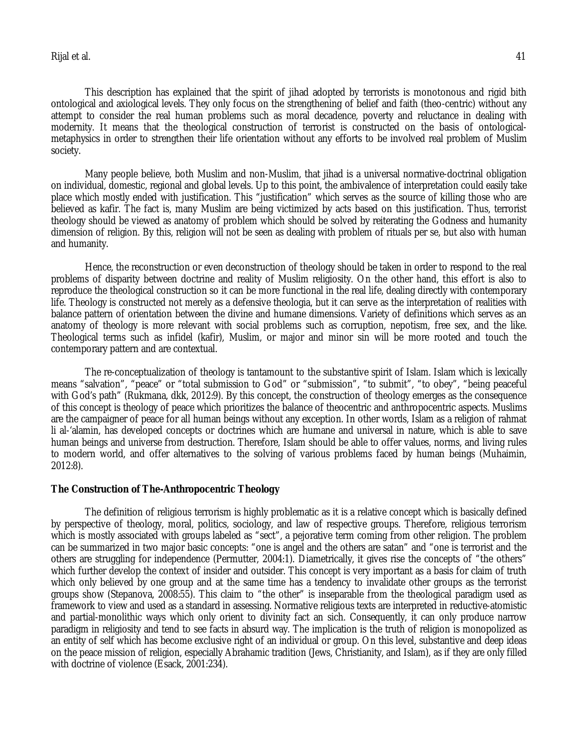Rijal et al. 41

This description has explained that the spirit of jihad adopted by terrorists is monotonous and rigid bith ontological and axiological levels. They only focus on the strengthening of belief and faith (theo-centric) without any attempt to consider the real human problems such as moral decadence, poverty and reluctance in dealing with modernity. It means that the theological construction of terrorist is constructed on the basis of ontologicalmetaphysics in order to strengthen their life orientation without any efforts to be involved real problem of Muslim society.

Many people believe, both Muslim and non-Muslim, that jihad is a universal normative-doctrinal obligation on individual, domestic, regional and global levels. Up to this point, the ambivalence of interpretation could easily take place which mostly ended with justification. This "justification" which serves as the source of killing those who are believed as kafir. The fact is, many Muslim are being victimized by acts based on this justification. Thus, terrorist theology should be viewed as anatomy of problem which should be solved by reiterating the Godness and humanity dimension of religion. By this, religion will not be seen as dealing with problem of rituals per se, but also with human and humanity.

Hence, the reconstruction or even deconstruction of theology should be taken in order to respond to the real problems of disparity between doctrine and reality of Muslim religiosity. On the other hand, this effort is also to reproduce the theological construction so it can be more functional in the real life, dealing directly with contemporary life. Theology is constructed not merely as a defensive theologia, but it can serve as the interpretation of realities with balance pattern of orientation between the divine and humane dimensions. Variety of definitions which serves as an anatomy of theology is more relevant with social problems such as corruption, nepotism, free sex, and the like. Theological terms such as infidel (kafir), Muslim, or major and minor sin will be more rooted and touch the contemporary pattern and are contextual.

The re-conceptualization of theology is tantamount to the substantive spirit of Islam. Islam which is lexically means "salvation", "peace" or "total submission to God" or "submission", "to submit", "to obey", "being peaceful with God's path" (Rukmana, dkk, 2012:9). By this concept, the construction of theology emerges as the consequence of this concept is theology of peace which prioritizes the balance of theocentric and anthropocentric aspects. Muslims are the campaigner of peace for all human beings without any exception. In other words, Islam as a religion of rahmat li al-'alamin, has developed concepts or doctrines which are humane and universal in nature, which is able to save human beings and universe from destruction. Therefore, Islam should be able to offer values, norms, and living rules to modern world, and offer alternatives to the solving of various problems faced by human beings (Muhaimin, 2012:8).

# **The Construction of The-Anthropocentric Theology**

The definition of religious terrorism is highly problematic as it is a relative concept which is basically defined by perspective of theology, moral, politics, sociology, and law of respective groups. Therefore, religious terrorism which is mostly associated with groups labeled as "sect", a pejorative term coming from other religion. The problem can be summarized in two major basic concepts: "one is angel and the others are satan" and "one is terrorist and the others are struggling for independence (Permutter, 2004:1). Diametrically, it gives rise the concepts of "the others" which further develop the context of insider and outsider. This concept is very important as a basis for claim of truth which only believed by one group and at the same time has a tendency to invalidate other groups as the terrorist groups show (Stepanova, 2008:55). This claim to "the other" is inseparable from the theological paradigm used as framework to view and used as a standard in assessing. Normative religious texts are interpreted in reductive-atomistic and partial-monolithic ways which only orient to divinity fact an sich. Consequently, it can only produce narrow paradigm in religiosity and tend to see facts in absurd way. The implication is the truth of religion is monopolized as an entity of self which has become exclusive right of an individual or group. On this level, substantive and deep ideas on the peace mission of religion, especially Abrahamic tradition (Jews, Christianity, and Islam), as if they are only filled with doctrine of violence (Esack, 2001:234).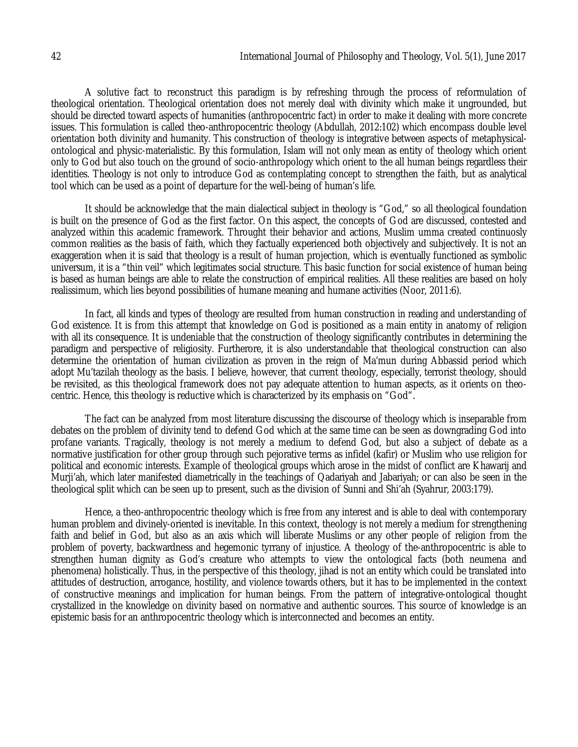A solutive fact to reconstruct this paradigm is by refreshing through the process of reformulation of theological orientation. Theological orientation does not merely deal with divinity which make it ungrounded, but should be directed toward aspects of humanities (anthropocentric fact) in order to make it dealing with more concrete issues. This formulation is called theo-anthropocentric theology (Abdullah, 2012:102) which encompass double level orientation both divinity and humanity. This construction of theology is integrative between aspects of metaphysicalontological and physic-materialistic. By this formulation, Islam will not only mean as entity of theology which orient only to God but also touch on the ground of socio-anthropology which orient to the all human beings regardless their identities. Theology is not only to introduce God as contemplating concept to strengthen the faith, but as analytical tool which can be used as a point of departure for the well-being of human's life.

It should be acknowledge that the main dialectical subject in theology is "God," so all theological foundation is built on the presence of God as the first factor. On this aspect, the concepts of God are discussed, contested and analyzed within this academic framework. Throught their behavior and actions, Muslim umma created continuosly common realities as the basis of faith, which they factually experienced both objectively and subjectively. It is not an exaggeration when it is said that theology is a result of human projection, which is eventually functioned as symbolic universum, it is a "thin veil" which legitimates social structure. This basic function for social existence of human being is based as human beings are able to relate the construction of empirical realities. All these realities are based on holy realissimum, which lies beyond possibilities of humane meaning and humane activities (Noor, 2011:6).

In fact, all kinds and types of theology are resulted from human construction in reading and understanding of God existence. It is from this attempt that knowledge on God is positioned as a main entity in anatomy of religion with all its consequence. It is undeniable that the construction of theology significantly contributes in determining the paradigm and perspective of religiosity. Furtherore, it is also understandable that theological construction can also determine the orientation of human civilization as proven in the reign of Ma'mun during Abbassid period which adopt Mu'tazilah theology as the basis. I believe, however, that current theology, especially, terrorist theology, should be revisited, as this theological framework does not pay adequate attention to human aspects, as it orients on theocentric. Hence, this theology is reductive which is characterized by its emphasis on "God".

The fact can be analyzed from most literature discussing the discourse of theology which is inseparable from debates on the problem of divinity tend to defend God which at the same time can be seen as downgrading God into profane variants. Tragically, theology is not merely a medium to defend God, but also a subject of debate as a normative justification for other group through such pejorative terms as infidel (kafir) or Muslim who use religion for political and economic interests. Example of theological groups which arose in the midst of conflict are Khawarij and Murji'ah, which later manifested diametrically in the teachings of Qadariyah and Jabariyah; or can also be seen in the theological split which can be seen up to present, such as the division of Sunni and Shi'ah (Syahrur, 2003:179).

Hence, a theo-anthropocentric theology which is free from any interest and is able to deal with contemporary human problem and divinely-oriented is inevitable. In this context, theology is not merely a medium for strengthening faith and belief in God, but also as an axis which will liberate Muslims or any other people of religion from the problem of poverty, backwardness and hegemonic tyrrany of injustice. A theology of the-anthropocentric is able to strengthen human dignity as God's creature who attempts to view the ontological facts (both neumena and phenomena) holistically. Thus, in the perspective of this theology, jihad is not an entity which could be translated into attitudes of destruction, arrogance, hostility, and violence towards others, but it has to be implemented in the context of constructive meanings and implication for human beings. From the pattern of integrative-ontological thought crystallized in the knowledge on divinity based on normative and authentic sources. This source of knowledge is an epistemic basis for an anthropocentric theology which is interconnected and becomes an entity.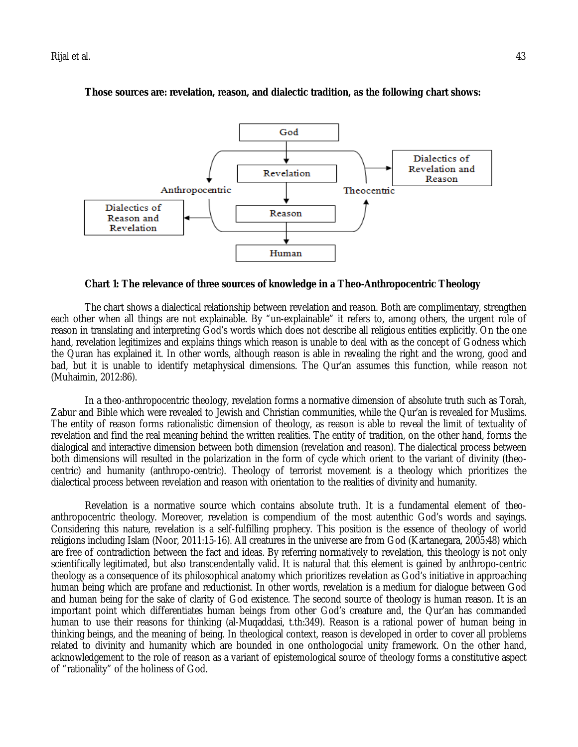

**Those sources are: revelation, reason, and dialectic tradition, as the following chart shows:**

**Chart 1: The relevance of three sources of knowledge in a Theo-Anthropocentric Theology** 

The chart shows a dialectical relationship between revelation and reason. Both are complimentary, strengthen each other when all things are not explainable. By "un-explainable" it refers to, among others, the urgent role of reason in translating and interpreting God's words which does not describe all religious entities explicitly. On the one hand, revelation legitimizes and explains things which reason is unable to deal with as the concept of Godness which the Quran has explained it. In other words, although reason is able in revealing the right and the wrong, good and bad, but it is unable to identify metaphysical dimensions. The Qur'an assumes this function, while reason not (Muhaimin, 2012:86).

In a theo-anthropocentric theology, revelation forms a normative dimension of absolute truth such as Torah, Zabur and Bible which were revealed to Jewish and Christian communities, while the Qur'an is revealed for Muslims. The entity of reason forms rationalistic dimension of theology, as reason is able to reveal the limit of textuality of revelation and find the real meaning behind the written realities. The entity of tradition, on the other hand, forms the dialogical and interactive dimension between both dimension (revelation and reason). The dialectical process between both dimensions will resulted in the polarization in the form of cycle which orient to the variant of divinity (theocentric) and humanity (anthropo-centric). Theology of terrorist movement is a theology which prioritizes the dialectical process between revelation and reason with orientation to the realities of divinity and humanity.

Revelation is a normative source which contains absolute truth. It is a fundamental element of theoanthropocentric theology. Moreover, revelation is compendium of the most autenthic God's words and sayings. Considering this nature, revelation is a self-fulfilling prophecy. This position is the essence of theology of world religions including Islam (Noor, 2011:15-16). All creatures in the universe are from God (Kartanegara, 2005:48) which are free of contradiction between the fact and ideas. By referring normatively to revelation, this theology is not only scientifically legitimated, but also transcendentally valid. It is natural that this element is gained by anthropo-centric theology as a consequence of its philosophical anatomy which prioritizes revelation as God's initiative in approaching human being which are profane and reductionist. In other words, revelation is a medium for dialogue between God and human being for the sake of clarity of God existence. The second source of theology is human reason. It is an important point which differentiates human beings from other God's creature and, the Qur'an has commanded human to use their reasons for thinking (al-Muqaddasi, t.th:349). Reason is a rational power of human being in thinking beings, and the meaning of being. In theological context, reason is developed in order to cover all problems related to divinity and humanity which are bounded in one onthologocial unity framework. On the other hand, acknowledgement to the role of reason as a variant of epistemological source of theology forms a constitutive aspect of "rationality" of the holiness of God.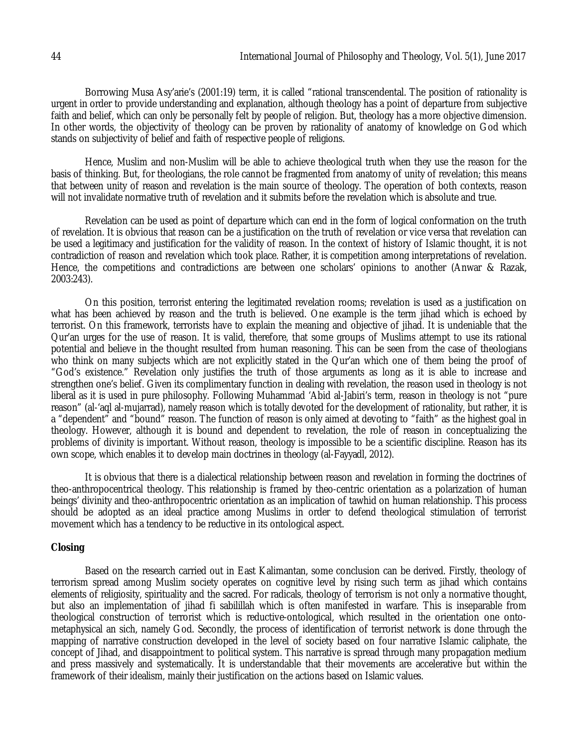Borrowing Musa Asy'arie's (2001:19) term, it is called "rational transcendental. The position of rationality is urgent in order to provide understanding and explanation, although theology has a point of departure from subjective faith and belief, which can only be personally felt by people of religion. But, theology has a more objective dimension. In other words, the objectivity of theology can be proven by rationality of anatomy of knowledge on God which stands on subjectivity of belief and faith of respective people of religions.

Hence, Muslim and non-Muslim will be able to achieve theological truth when they use the reason for the basis of thinking. But, for theologians, the role cannot be fragmented from anatomy of unity of revelation; this means that between unity of reason and revelation is the main source of theology. The operation of both contexts, reason will not invalidate normative truth of revelation and it submits before the revelation which is absolute and true.

Revelation can be used as point of departure which can end in the form of logical conformation on the truth of revelation. It is obvious that reason can be a justification on the truth of revelation or vice versa that revelation can be used a legitimacy and justification for the validity of reason. In the context of history of Islamic thought, it is not contradiction of reason and revelation which took place. Rather, it is competition among interpretations of revelation. Hence, the competitions and contradictions are between one scholars' opinions to another (Anwar & Razak, 2003:243).

On this position, terrorist entering the legitimated revelation rooms; revelation is used as a justification on what has been achieved by reason and the truth is believed. One example is the term jihad which is echoed by terrorist. On this framework, terrorists have to explain the meaning and objective of jihad. It is undeniable that the Qur'an urges for the use of reason. It is valid, therefore, that some groups of Muslims attempt to use its rational potential and believe in the thought resulted from human reasoning. This can be seen from the case of theologians who think on many subjects which are not explicitly stated in the Qur'an which one of them being the proof of "God's existence." Revelation only justifies the truth of those arguments as long as it is able to increase and strengthen one's belief. Given its complimentary function in dealing with revelation, the reason used in theology is not liberal as it is used in pure philosophy. Following Muhammad 'Abid al-Jabiri's term, reason in theology is not "pure reason" (al-'aql al-mujarrad), namely reason which is totally devoted for the development of rationality, but rather, it is a "dependent" and "bound" reason. The function of reason is only aimed at devoting to "faith" as the highest goal in theology. However, although it is bound and dependent to revelation, the role of reason in conceptualizing the problems of divinity is important. Without reason, theology is impossible to be a scientific discipline. Reason has its own scope, which enables it to develop main doctrines in theology (al-Fayyadl, 2012).

It is obvious that there is a dialectical relationship between reason and revelation in forming the doctrines of theo-anthropocentrical theology. This relationship is framed by theo-centric orientation as a polarization of human beings' divinity and theo-anthropocentric orientation as an implication of tawhid on human relationship. This process should be adopted as an ideal practice among Muslims in order to defend theological stimulation of terrorist movement which has a tendency to be reductive in its ontological aspect.

# **Closing**

Based on the research carried out in East Kalimantan, some conclusion can be derived. Firstly, theology of terrorism spread among Muslim society operates on cognitive level by rising such term as jihad which contains elements of religiosity, spirituality and the sacred. For radicals, theology of terrorism is not only a normative thought, but also an implementation of jihad fi sabilillah which is often manifested in warfare. This is inseparable from theological construction of terrorist which is reductive-ontological, which resulted in the orientation one ontometaphysical an sich, namely God. Secondly, the process of identification of terrorist network is done through the mapping of narrative construction developed in the level of society based on four narrative Islamic caliphate, the concept of Jihad, and disappointment to political system. This narrative is spread through many propagation medium and press massively and systematically. It is understandable that their movements are accelerative but within the framework of their idealism, mainly their justification on the actions based on Islamic values.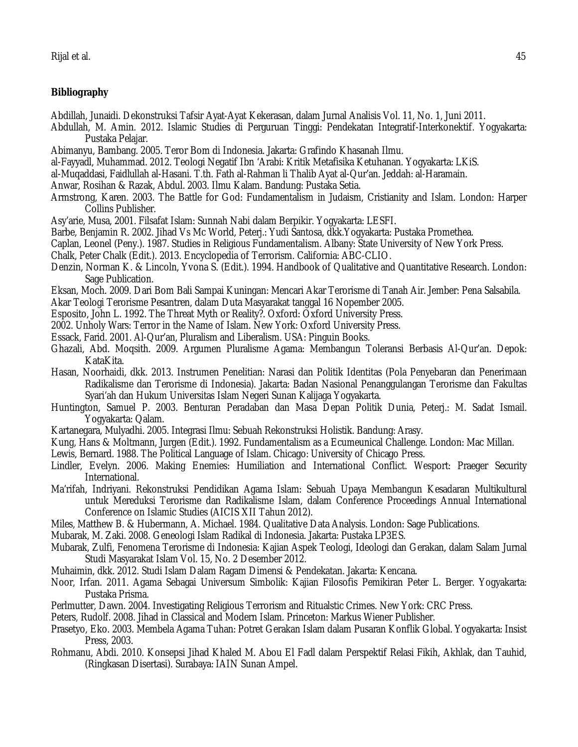# **Bibliography**

Abdillah, Junaidi. Dekonstruksi Tafsir Ayat-Ayat Kekerasan, dalam Jurnal Analisis Vol. 11, No. 1, Juni 2011.

- Abdullah, M. Amin. 2012. Islamic Studies di Perguruan Tinggi: Pendekatan Integratif-Interkonektif. Yogyakarta: Pustaka Pelajar.
- Abimanyu, Bambang. 2005. Teror Bom di Indonesia. Jakarta: Grafindo Khasanah Ilmu.
- al-Fayyadl, Muhammad. 2012. Teologi Negatif Ibn 'Arabi: Kritik Metafisika Ketuhanan. Yogyakarta: LKiS.
- al-Muqaddasi, Faidlullah al-Hasani. T.th. Fath al-Rahman li Thalib Ayat al-Qur'an. Jeddah: al-Haramain.
- Anwar, Rosihan & Razak, Abdul. 2003. Ilmu Kalam. Bandung: Pustaka Setia.
- Armstrong, Karen. 2003. The Battle for God: Fundamentalism in Judaism, Cristianity and Islam. London: Harper Collins Publisher.
- Asy'arie, Musa, 2001. Filsafat Islam: Sunnah Nabi dalam Berpikir. Yogyakarta: LESFI.
- Barbe, Benjamin R. 2002. Jihad Vs Mc World, Peterj.: Yudi Santosa, dkk.Yogyakarta: Pustaka Promethea.
- Caplan, Leonel (Peny.). 1987. Studies in Religious Fundamentalism. Albany: State University of New York Press.
- Chalk, Peter Chalk (Edit.). 2013. Encyclopedia of Terrorism. California: ABC-CLIO.
- Denzin, Norman K. & Lincoln, Yvona S. (Edit.). 1994. Handbook of Qualitative and Quantitative Research. London: Sage Publication.
- Eksan, Moch. 2009. Dari Bom Bali Sampai Kuningan: Mencari Akar Terorisme di Tanah Air. Jember: Pena Salsabila.
- Akar Teologi Terorisme Pesantren, dalam Duta Masyarakat tanggal 16 Nopember 2005.
- Esposito, John L. 1992. The Threat Myth or Reality?. Oxford: Oxford University Press.
- 2002. Unholy Wars: Terror in the Name of Islam. New York: Oxford University Press.
- Essack, Farid. 2001. Al-Qur'an, Pluralism and Liberalism. USA: Pinguin Books.
- Ghazali, Abd. Moqsith. 2009. Argumen Pluralisme Agama: Membangun Toleransi Berbasis Al-Qur'an. Depok: KataKita.
- Hasan, Noorhaidi, dkk. 2013. Instrumen Penelitian: Narasi dan Politik Identitas (Pola Penyebaran dan Penerimaan Radikalisme dan Terorisme di Indonesia). Jakarta: Badan Nasional Penanggulangan Terorisme dan Fakultas Syari'ah dan Hukum Universitas Islam Negeri Sunan Kalijaga Yogyakarta.
- Huntington, Samuel P. 2003. Benturan Peradaban dan Masa Depan Politik Dunia, Peterj.: M. Sadat Ismail. Yogyakarta: Qalam.
- Kartanegara, Mulyadhi. 2005. Integrasi Ilmu: Sebuah Rekonstruksi Holistik. Bandung: Arasy.
- Kung, Hans & Moltmann, Jurgen (Edit.). 1992. Fundamentalism as a Ecumeunical Challenge. London: Mac Millan.
- Lewis, Bernard. 1988. The Political Language of Islam. Chicago: University of Chicago Press.
- Lindler, Evelyn. 2006. Making Enemies: Humiliation and International Conflict. Wesport: Praeger Security International.
- Ma'rifah, Indriyani. Rekonstruksi Pendidikan Agama Islam: Sebuah Upaya Membangun Kesadaran Multikultural untuk Mereduksi Terorisme dan Radikalisme Islam, dalam Conference Proceedings Annual International Conference on Islamic Studies (AICIS XII Tahun 2012).
- Miles, Matthew B. & Hubermann, A. Michael. 1984. Qualitative Data Analysis. London: Sage Publications.
- Mubarak, M. Zaki. 2008. Geneologi Islam Radikal di Indonesia. Jakarta: Pustaka LP3ES.
- Mubarak, Zulfi, Fenomena Terorisme di Indonesia: Kajian Aspek Teologi, Ideologi dan Gerakan, dalam Salam Jurnal Studi Masyarakat Islam Vol. 15, No. 2 Desember 2012.
- Muhaimin, dkk. 2012. Studi Islam Dalam Ragam Dimensi & Pendekatan. Jakarta: Kencana.
- Noor, Irfan. 2011. Agama Sebagai Universum Simbolik: Kajian Filosofis Pemikiran Peter L. Berger. Yogyakarta: Pustaka Prisma.
- Perlmutter, Dawn. 2004. Investigating Religious Terrorism and Ritualstic Crimes. New York: CRC Press.
- Peters, Rudolf. 2008. Jihad in Classical and Modern Islam. Princeton: Markus Wiener Publisher.
- Prasetyo, Eko. 2003. Membela Agama Tuhan: Potret Gerakan Islam dalam Pusaran Konflik Global. Yogyakarta: Insist Press, 2003.
- Rohmanu, Abdi. 2010. Konsepsi Jihad Khaled M. Abou El Fadl dalam Perspektif Relasi Fikih, Akhlak, dan Tauhid, (Ringkasan Disertasi). Surabaya: IAIN Sunan Ampel.